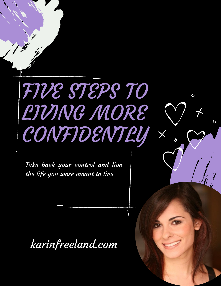## FIVE STEPS TO LIVING MORE **CONFIDENTLY**

 $\times$ 

Take back your control and live the life you were meant to live

karinfreeland.com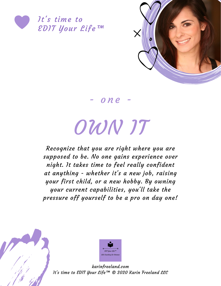



- o n e -

## OWN IT

Recognize that you are right where you are supposed to be. No one gains experience over night. It takes time to feel really confident at anything - whether it's a new job, raising your first child, or a new hobby. By owning your current capabilities, you'll take the pressure off yourself to be a pro on day one!



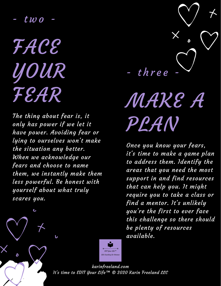-  $t$   $\omega$   $o$ 

FACE YOUR FEAR

ے

 $\delta$ 

The thing about fear is, it only has power if we let it have power. Avoiding fear or lying to ourselves won't make the situation any better. When we acknowledge our fears and choose to name them, we instantly make them less powerful. Be honest with yourself about what truly scares you.



MAKE A PLAN

Once you know your fears, it's time to make a game plan to address them. Identify the areas that you need the most support in and find resources that can help you. It might require you to take a class or find a mentor. It's unlikely you're the first to ever face this challenge so there should be plenty of resources available.

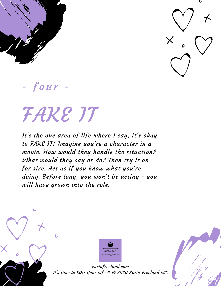



 $-$  four  $-$ 

## FAKE IT

It's the one area of life where I say, it's okay to FAKE IT! Imagine you're a character in a movie. How would they handle the situation? What would they say or do? Then try it on for size. Act as if you know what you're doing. Before long, you won't be acting - you will have grown into the role.